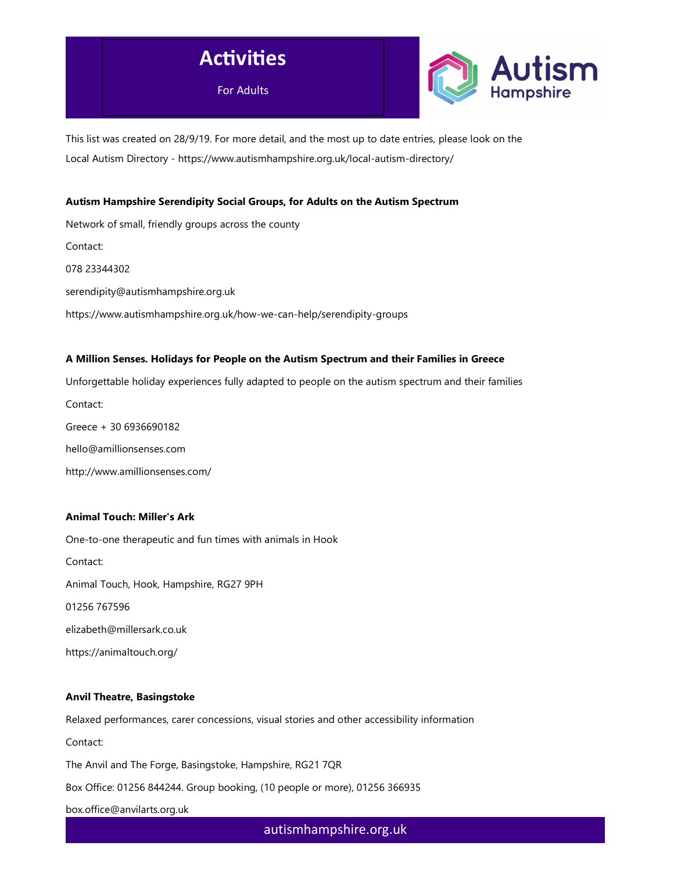



This list was created on 28/9/19. For more detail, and the most up to date entries, please look on the Local Autism Directory - https://www.autismhampshire.org.uk/local-autism-directory/

### Autism Hampshire Serendipity Social Groups, for Adults on the Autism Spectrum

Network of small, friendly groups across the county Contact: 078 23344302 serendipity@autismhampshire.org.uk https://www.autismhampshire.org.uk/how-we-can-help/serendipity-groups

### A Million Senses. Holidays for People on the Autism Spectrum and their Families in Greece

Unforgettable holiday experiences fully adapted to people on the autism spectrum and their families Contact: Greece + 30 6936690182 hello@amillionsenses.com http://www.amillionsenses.com/

### Animal Touch: Miller's Ark

One-to-one therapeutic and fun times with animals in Hook Contact: Animal Touch, Hook, Hampshire, RG27 9PH 01256 767596 elizabeth@millersark.co.uk https://animaltouch.org/

### Anvil Theatre, Basingstoke

Relaxed performances, carer concessions, visual stories and other accessibility information Contact: The Anvil and The Forge, Basingstoke, Hampshire, RG21 7QR Box Office: 01256 844244. Group booking, (10 people or more), 01256 366935 box.office@anvilarts.org.uk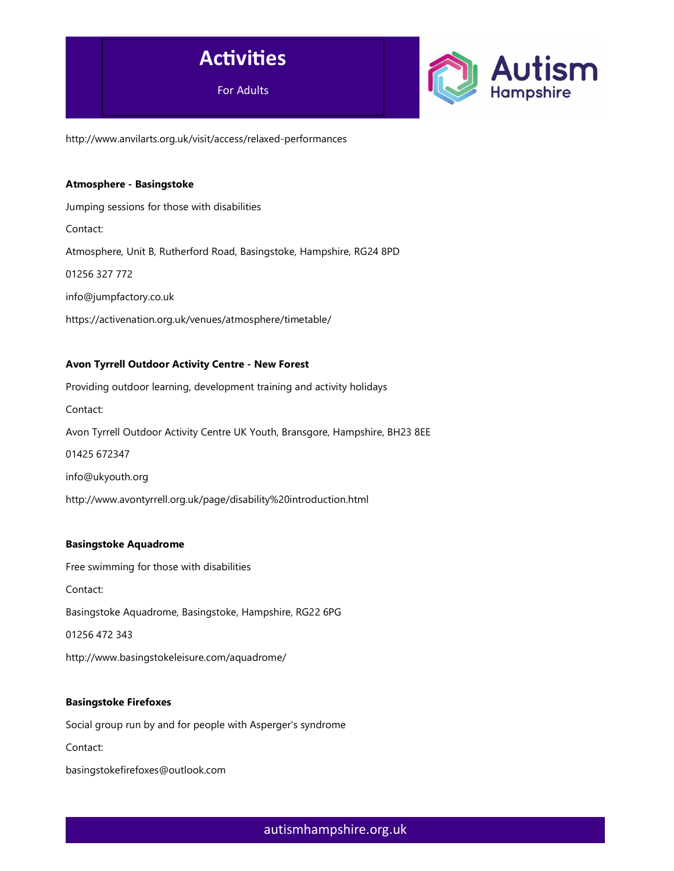



http://www.anvilarts.org.uk/visit/access/relaxed-performances

# Atmosphere - Basingstoke

Jumping sessions for those with disabilities

Contact:

Atmosphere, Unit B, Rutherford Road, Basingstoke, Hampshire, RG24 8PD

01256 327 772

info@jumpfactory.co.uk

https://activenation.org.uk/venues/atmosphere/timetable/

### Avon Tyrrell Outdoor Activity Centre - New Forest

Providing outdoor learning, development training and activity holidays Contact: Avon Tyrrell Outdoor Activity Centre UK Youth, Bransgore, Hampshire, BH23 8EE 01425 672347 info@ukyouth.org http://www.avontyrrell.org.uk/page/disability%20introduction.html

### Basingstoke Aquadrome

Free swimming for those with disabilities Contact: Basingstoke Aquadrome, Basingstoke, Hampshire, RG22 6PG

01256 472 343

http://www.basingstokeleisure.com/aquadrome/

### Basingstoke Firefoxes

Social group run by and for people with Asperger's syndrome Contact: basingstokefirefoxes@outlook.com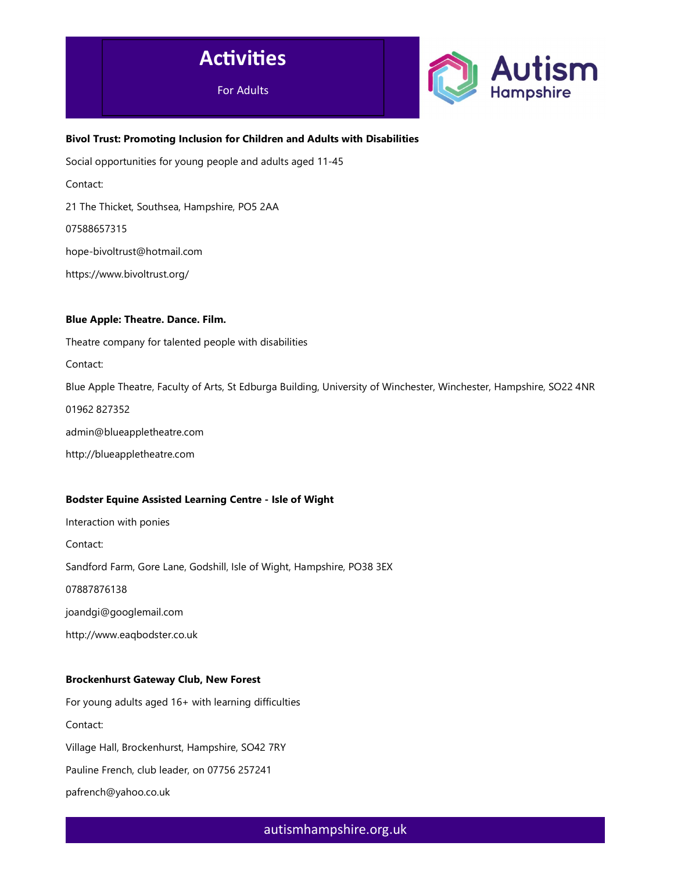



# Bivol Trust: Promoting Inclusion for Children and Adults with Disabilities

Social opportunities for young people and adults aged 11-45

Contact:

21 The Thicket, Southsea, Hampshire, PO5 2AA

07588657315

hope-bivoltrust@hotmail.com

https://www.bivoltrust.org/

### Blue Apple: Theatre. Dance. Film.

Theatre company for talented people with disabilities

Contact:

Blue Apple Theatre, Faculty of Arts, St Edburga Building, University of Winchester, Winchester, Hampshire, SO22 4NR

01962 827352

admin@blueappletheatre.com

http://blueappletheatre.com

### Bodster Equine Assisted Learning Centre - Isle of Wight

Interaction with ponies

Contact:

Sandford Farm, Gore Lane, Godshill, Isle of Wight, Hampshire, PO38 3EX

07887876138

joandgi@googlemail.com

http://www.eaqbodster.co.uk

### Brockenhurst Gateway Club, New Forest

For young adults aged 16+ with learning difficulties Contact: Village Hall, Brockenhurst, Hampshire, SO42 7RY Pauline French, club leader, on 07756 257241 pafrench@yahoo.co.uk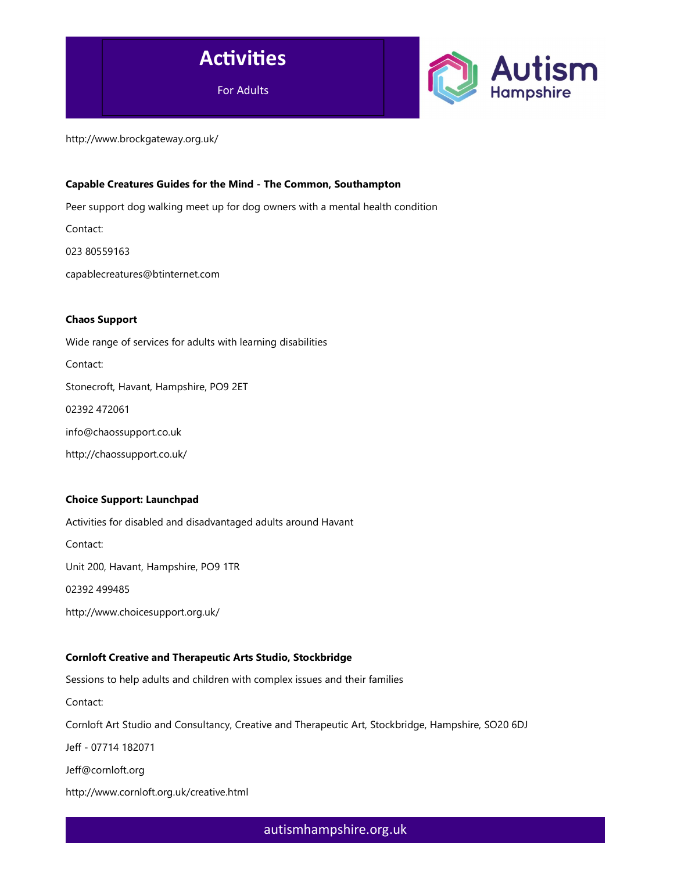



http://www.brockgateway.org.uk/

# Capable Creatures Guides for the Mind - The Common, Southampton

Peer support dog walking meet up for dog owners with a mental health condition

Contact:

023 80559163

capablecreatures@btinternet.com

### Chaos Support

Wide range of services for adults with learning disabilities Contact: Stonecroft, Havant, Hampshire, PO9 2ET 02392 472061 info@chaossupport.co.uk

### Choice Support: Launchpad

http://chaossupport.co.uk/

Activities for disabled and disadvantaged adults around Havant Contact: Unit 200, Havant, Hampshire, PO9 1TR 02392 499485 http://www.choicesupport.org.uk/ Cornloft Creative and Therapeutic Arts Studio, Stockbridge Sessions to help adults and children with complex issues and their families Contact:

Cornloft Art Studio and Consultancy, Creative and Therapeutic Art, Stockbridge, Hampshire, SO20 6DJ

Jeff - 07714 182071

Jeff@cornloft.org

http://www.cornloft.org.uk/creative.html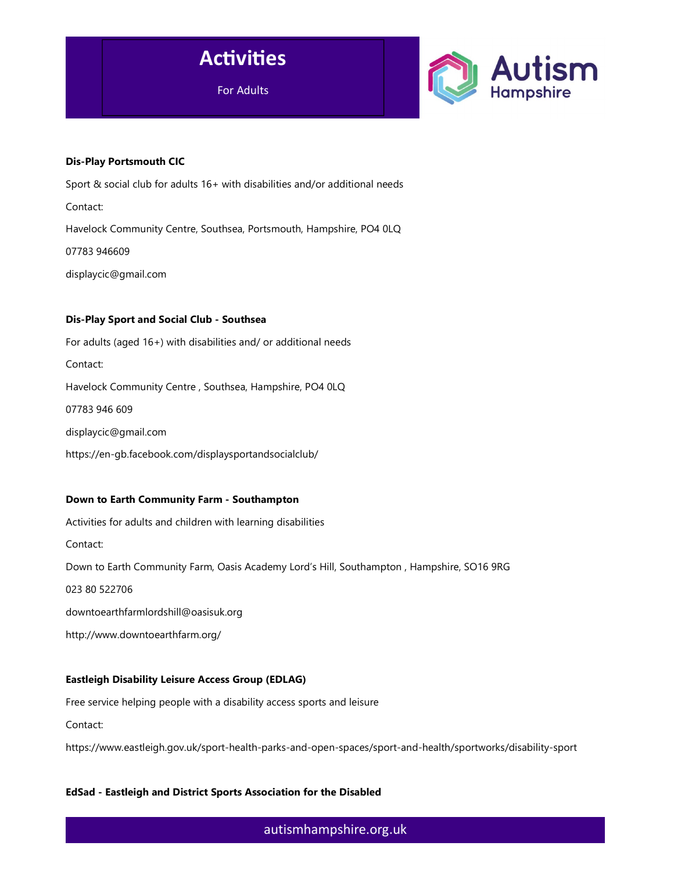



#### Dis-Play Portsmouth CIC

Sport & social club for adults 16+ with disabilities and/or additional needs Contact: Havelock Community Centre, Southsea, Portsmouth, Hampshire, PO4 0LQ 07783 946609 displaycic@gmail.com

#### Dis-Play Sport and Social Club - Southsea

For adults (aged 16+) with disabilities and/ or additional needs Contact: Havelock Community Centre , Southsea, Hampshire, PO4 0LQ 07783 946 609 displaycic@gmail.com https://en-gb.facebook.com/displaysportandsocialclub/

#### Down to Earth Community Farm - Southampton

Activities for adults and children with learning disabilities

Contact:

Down to Earth Community Farm, Oasis Academy Lord's Hill, Southampton , Hampshire, SO16 9RG

023 80 522706

downtoearthfarmlordshill@oasisuk.org

http://www.downtoearthfarm.org/

### Eastleigh Disability Leisure Access Group (EDLAG)

Free service helping people with a disability access sports and leisure

Contact:

https://www.eastleigh.gov.uk/sport-health-parks-and-open-spaces/sport-and-health/sportworks/disability-sport

### EdSad - Eastleigh and District Sports Association for the Disabled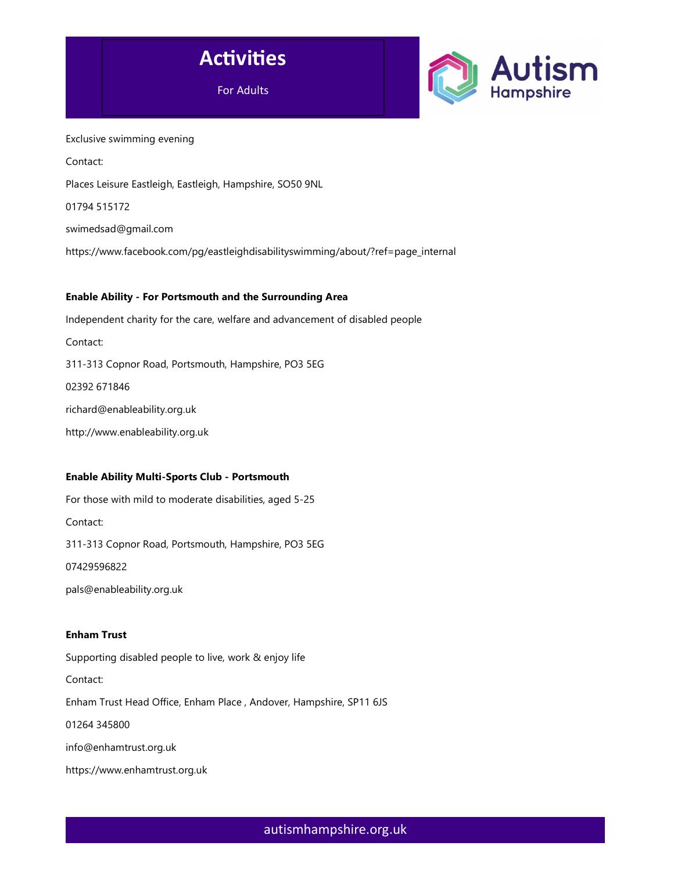



Exclusive swimming evening Contact: Places Leisure Eastleigh, Eastleigh, Hampshire, SO50 9NL 01794 515172 swimedsad@gmail.com https://www.facebook.com/pg/eastleighdisabilityswimming/about/?ref=page\_internal

# Enable Ability - For Portsmouth and the Surrounding Area

Independent charity for the care, welfare and advancement of disabled people Contact: 311-313 Copnor Road, Portsmouth, Hampshire, PO3 5EG 02392 671846 richard@enableability.org.uk http://www.enableability.org.uk

# Enable Ability Multi-Sports Club - Portsmouth

For those with mild to moderate disabilities, aged 5-25 Contact: 311-313 Copnor Road, Portsmouth, Hampshire, PO3 5EG 07429596822 pals@enableability.org.uk

# Enham Trust

Supporting disabled people to live, work & enjoy life

Contact:

Enham Trust Head Office, Enham Place , Andover, Hampshire, SP11 6JS

01264 345800

info@enhamtrust.org.uk

https://www.enhamtrust.org.uk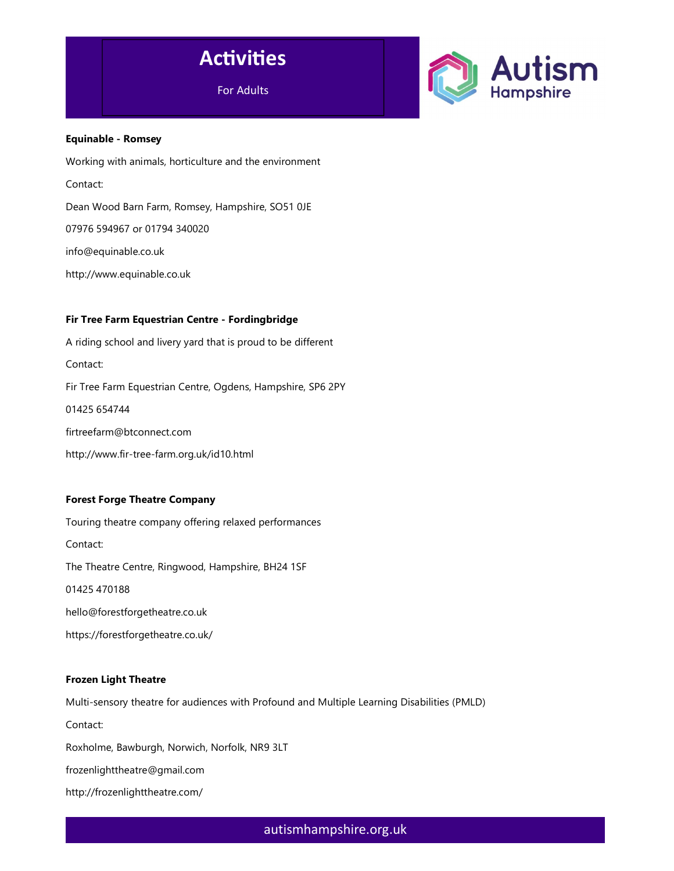



### Equinable - Romsey

Working with animals, horticulture and the environment Contact: Dean Wood Barn Farm, Romsey, Hampshire, SO51 0JE 07976 594967 or 01794 340020 info@equinable.co.uk

http://www.equinable.co.uk

### Fir Tree Farm Equestrian Centre - Fordingbridge

A riding school and livery yard that is proud to be different Contact: Fir Tree Farm Equestrian Centre, Ogdens, Hampshire, SP6 2PY 01425 654744 firtreefarm@btconnect.com http://www.fir-tree-farm.org.uk/id10.html

# Forest Forge Theatre Company

Touring theatre company offering relaxed performances Contact: The Theatre Centre, Ringwood, Hampshire, BH24 1SF 01425 470188 hello@forestforgetheatre.co.uk https://forestforgetheatre.co.uk/

### Frozen Light Theatre

Multi-sensory theatre for audiences with Profound and Multiple Learning Disabilities (PMLD) Contact: Roxholme, Bawburgh, Norwich, Norfolk, NR9 3LT frozenlighttheatre@gmail.com http://frozenlighttheatre.com/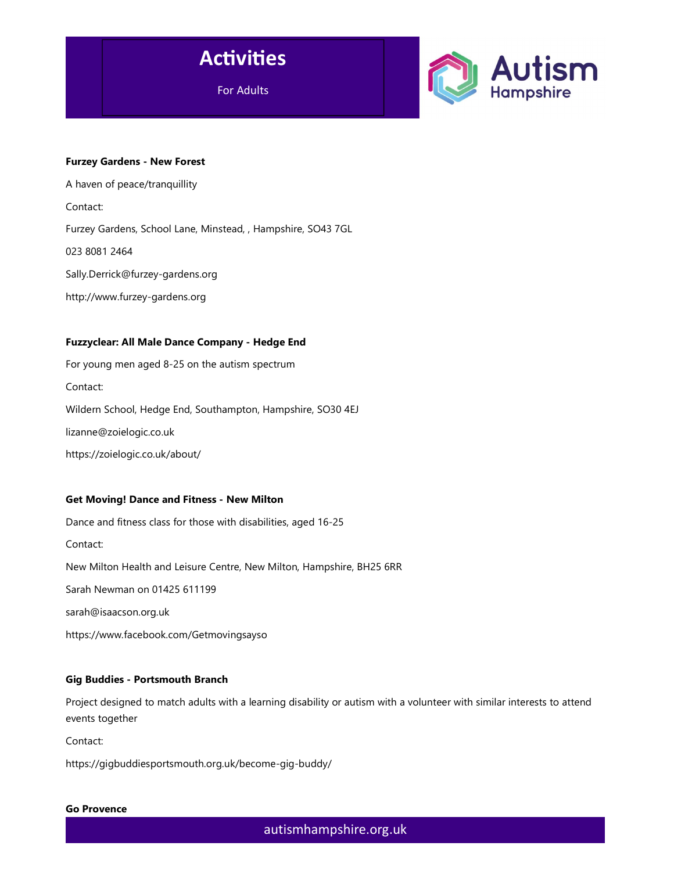

For Adults



#### Furzey Gardens - New Forest

A haven of peace/tranquillity Contact: Furzey Gardens, School Lane, Minstead, , Hampshire, SO43 7GL 023 8081 2464 Sally.Derrick@furzey-gardens.org http://www.furzey-gardens.org

### Fuzzyclear: All Male Dance Company - Hedge End

For young men aged 8-25 on the autism spectrum Contact: Wildern School, Hedge End, Southampton, Hampshire, SO30 4EJ lizanne@zoielogic.co.uk https://zoielogic.co.uk/about/

### Get Moving! Dance and Fitness - New Milton

Dance and fitness class for those with disabilities, aged 16-25 Contact: New Milton Health and Leisure Centre, New Milton, Hampshire, BH25 6RR Sarah Newman on 01425 611199 sarah@isaacson.org.uk https://www.facebook.com/Getmovingsayso

### Gig Buddies - Portsmouth Branch

Project designed to match adults with a learning disability or autism with a volunteer with similar interests to attend events together

Contact:

https://gigbuddiesportsmouth.org.uk/become-gig-buddy/

#### Go Provence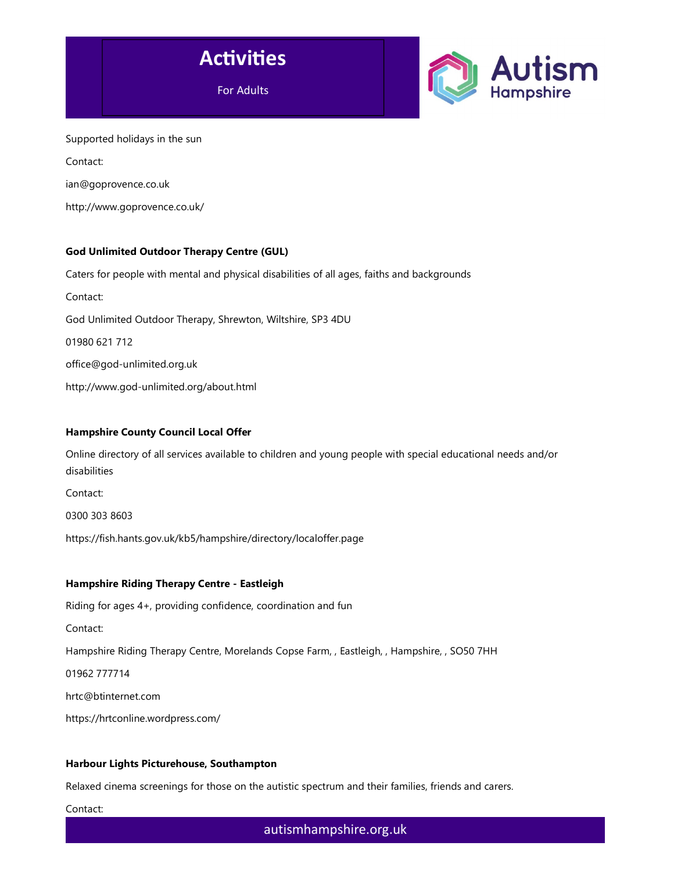



Supported holidays in the sun Contact: ian@goprovence.co.uk http://www.goprovence.co.uk/

# God Unlimited Outdoor Therapy Centre (GUL)

Caters for people with mental and physical disabilities of all ages, faiths and backgrounds Contact: God Unlimited Outdoor Therapy, Shrewton, Wiltshire, SP3 4DU 01980 621 712 office@god-unlimited.org.uk http://www.god-unlimited.org/about.html

# Hampshire County Council Local Offer

Online directory of all services available to children and young people with special educational needs and/or disabilities

Contact:

0300 303 8603

https://fish.hants.gov.uk/kb5/hampshire/directory/localoffer.page

# Hampshire Riding Therapy Centre - Eastleigh

Riding for ages 4+, providing confidence, coordination and fun Contact: Hampshire Riding Therapy Centre, Morelands Copse Farm, , Eastleigh, , Hampshire, , SO50 7HH 01962 777714 hrtc@btinternet.com

https://hrtconline.wordpress.com/

### Harbour Lights Picturehouse, Southampton

Relaxed cinema screenings for those on the autistic spectrum and their families, friends and carers.

Contact: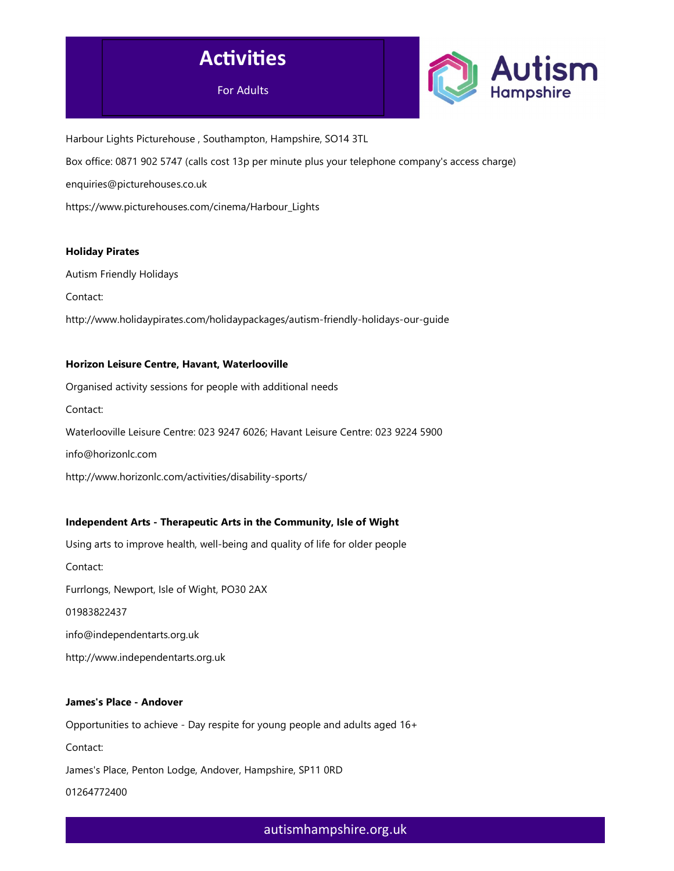



Harbour Lights Picturehouse , Southampton, Hampshire, SO14 3TL Box office: 0871 902 5747 (calls cost 13p per minute plus your telephone company's access charge) enquiries@picturehouses.co.uk https://www.picturehouses.com/cinema/Harbour\_Lights

### Holiday Pirates

Autism Friendly Holidays

Contact:

http://www.holidaypirates.com/holidaypackages/autism-friendly-holidays-our-guide

### Horizon Leisure Centre, Havant, Waterlooville

Organised activity sessions for people with additional needs Contact: Waterlooville Leisure Centre: 023 9247 6026; Havant Leisure Centre: 023 9224 5900 info@horizonlc.com

http://www.horizonlc.com/activities/disability-sports/

### Independent Arts - Therapeutic Arts in the Community, Isle of Wight

Using arts to improve health, well-being and quality of life for older people Contact: Furrlongs, Newport, Isle of Wight, PO30 2AX 01983822437 info@independentarts.org.uk http://www.independentarts.org.uk

#### James's Place - Andover

Opportunities to achieve - Day respite for young people and adults aged 16+ Contact: James's Place, Penton Lodge, Andover, Hampshire, SP11 0RD 01264772400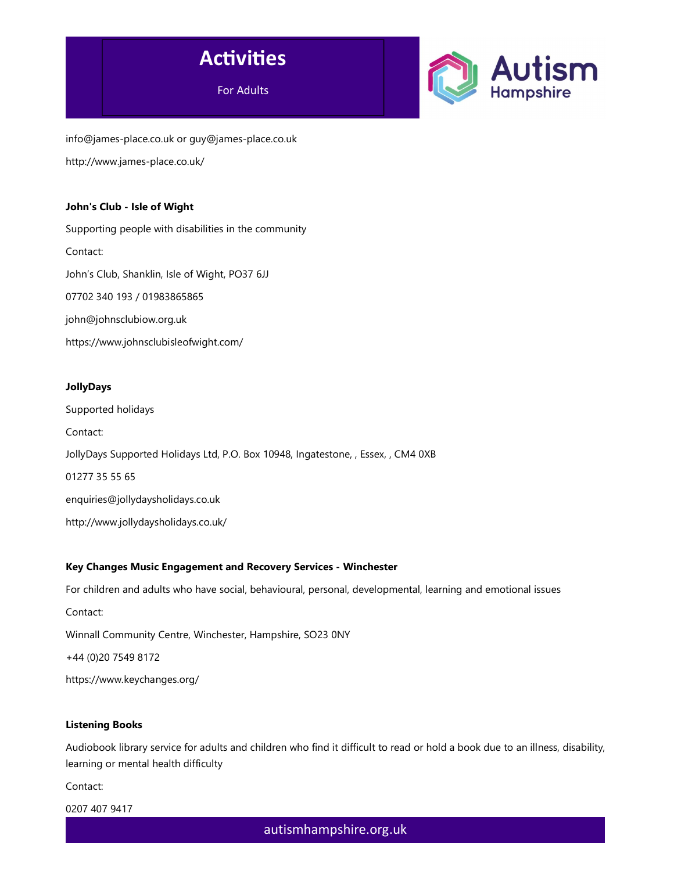



info@james-place.co.uk or guy@james-place.co.uk http://www.james-place.co.uk/

# John's Club - Isle of Wight

Supporting people with disabilities in the community Contact: John's Club, Shanklin, Isle of Wight, PO37 6JJ 07702 340 193 / 01983865865 john@johnsclubiow.org.uk https://www.johnsclubisleofwight.com/

# JollyDays

Supported holidays Contact: JollyDays Supported Holidays Ltd, P.O. Box 10948, Ingatestone, , Essex, , CM4 0XB 01277 35 55 65 enquiries@jollydaysholidays.co.uk http://www.jollydaysholidays.co.uk/

# Key Changes Music Engagement and Recovery Services - Winchester

For children and adults who have social, behavioural, personal, developmental, learning and emotional issues

Contact:

Winnall Community Centre, Winchester, Hampshire, SO23 0NY

+44 (0)20 7549 8172

https://www.keychanges.org/

# Listening Books

Audiobook library service for adults and children who find it difficult to read or hold a book due to an illness, disability, learning or mental health difficulty

Contact:

0207 407 9417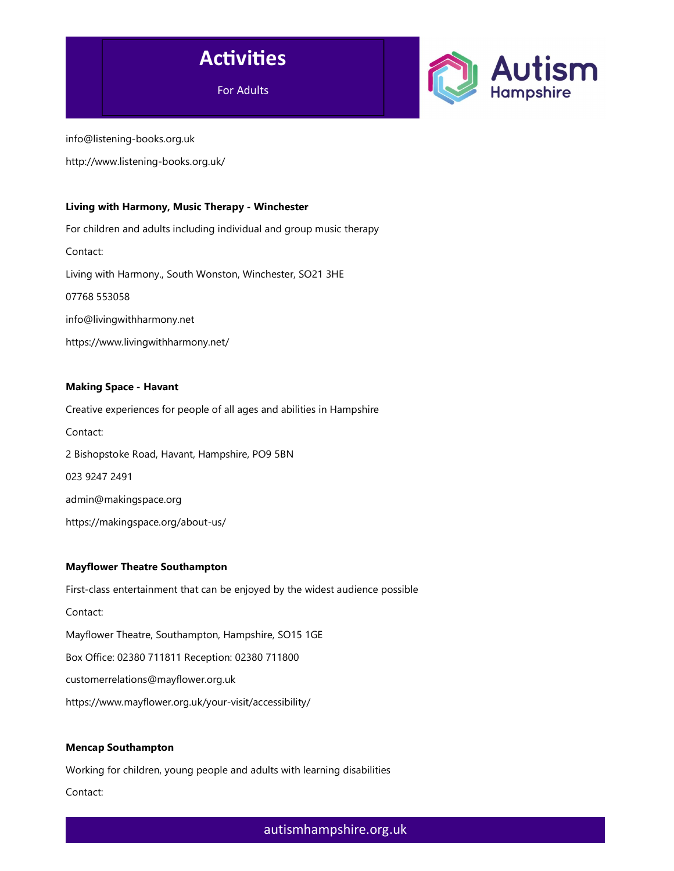

For Adults



info@listening-books.org.uk

http://www.listening-books.org.uk/

### Living with Harmony, Music Therapy - Winchester

For children and adults including individual and group music therapy Contact: Living with Harmony., South Wonston, Winchester, SO21 3HE 07768 553058 info@livingwithharmony.net https://www.livingwithharmony.net/

# Making Space - Havant

Creative experiences for people of all ages and abilities in Hampshire Contact: 2 Bishopstoke Road, Havant, Hampshire, PO9 5BN 023 9247 2491 admin@makingspace.org https://makingspace.org/about-us/

### Mayflower Theatre Southampton

First-class entertainment that can be enjoyed by the widest audience possible Contact: Mayflower Theatre, Southampton, Hampshire, SO15 1GE Box Office: 02380 711811 Reception: 02380 711800 customerrelations@mayflower.org.uk https://www.mayflower.org.uk/your-visit/accessibility/

### Mencap Southampton

Working for children, young people and adults with learning disabilities

Contact: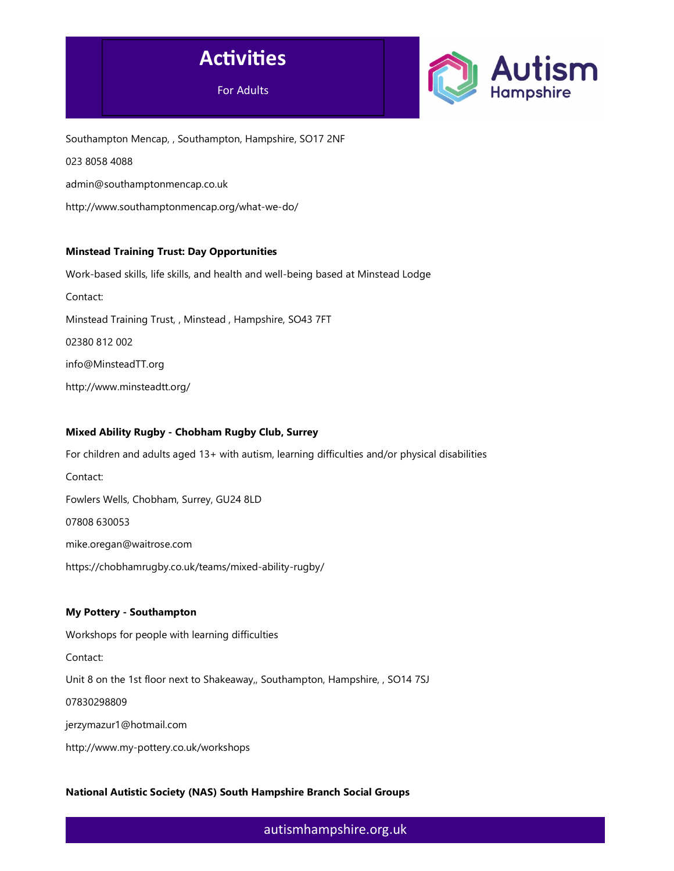



Southampton Mencap, , Southampton, Hampshire, SO17 2NF 023 8058 4088 admin@southamptonmencap.co.uk http://www.southamptonmencap.org/what-we-do/

# Minstead Training Trust: Day Opportunities

Work-based skills, life skills, and health and well-being based at Minstead Lodge Contact: Minstead Training Trust, , Minstead , Hampshire, SO43 7FT 02380 812 002 info@MinsteadTT.org http://www.minsteadtt.org/

# Mixed Ability Rugby - Chobham Rugby Club, Surrey

For children and adults aged 13+ with autism, learning difficulties and/or physical disabilities Contact: Fowlers Wells, Chobham, Surrey, GU24 8LD 07808 630053 mike.oregan@waitrose.com https://chobhamrugby.co.uk/teams/mixed-ability-rugby/

# My Pottery - Southampton

Workshops for people with learning difficulties Contact: Unit 8 on the 1st floor next to Shakeaway,, Southampton, Hampshire, , SO14 7SJ 07830298809 jerzymazur1@hotmail.com

http://www.my-pottery.co.uk/workshops

# National Autistic Society (NAS) South Hampshire Branch Social Groups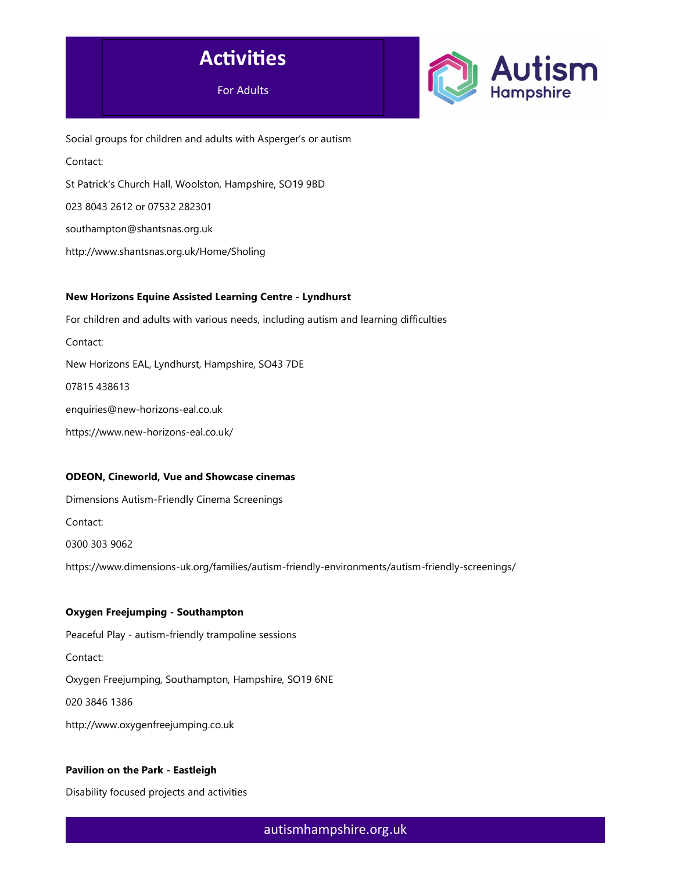



Social groups for children and adults with Asperger's or autism Contact: St Patrick's Church Hall, Woolston, Hampshire, SO19 9BD 023 8043 2612 or 07532 282301 southampton@shantsnas.org.uk http://www.shantsnas.org.uk/Home/Sholing

### New Horizons Equine Assisted Learning Centre - Lyndhurst

For children and adults with various needs, including autism and learning difficulties Contact: New Horizons EAL, Lyndhurst, Hampshire, SO43 7DE 07815 438613 enquiries@new-horizons-eal.co.uk https://www.new-horizons-eal.co.uk/

### ODEON, Cineworld, Vue and Showcase cinemas

Dimensions Autism-Friendly Cinema Screenings Contact: 0300 303 9062 https://www.dimensions-uk.org/families/autism-friendly-environments/autism-friendly-screenings/

### Oxygen Freejumping - Southampton

Peaceful Play - autism-friendly trampoline sessions Contact: Oxygen Freejumping, Southampton, Hampshire, SO19 6NE 020 3846 1386 http://www.oxygenfreejumping.co.uk

# Pavilion on the Park - Eastleigh

Disability focused projects and activities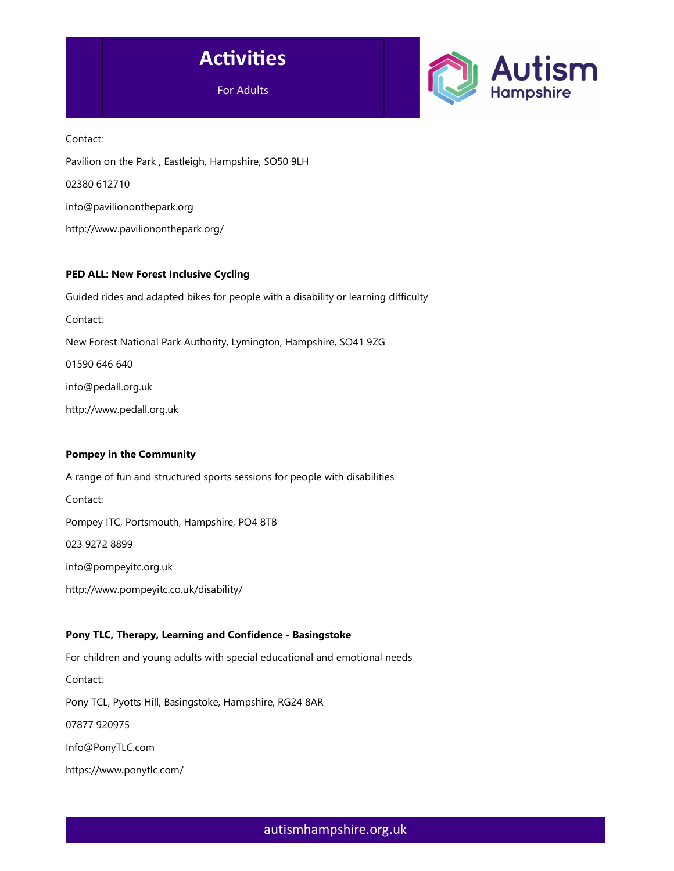



Contact: Pavilion on the Park , Eastleigh, Hampshire, SO50 9LH 02380 612710 info@paviliononthepark.org http://www.paviliononthepark.org/

### PED ALL: New Forest Inclusive Cycling

Guided rides and adapted bikes for people with a disability or learning difficulty Contact: New Forest National Park Authority, Lymington, Hampshire, SO41 9ZG 01590 646 640 info@pedall.org.uk http://www.pedall.org.uk

### Pompey in the Community

A range of fun and structured sports sessions for people with disabilities Contact: Pompey ITC, Portsmouth, Hampshire, PO4 8TB 023 9272 8899 info@pompeyitc.org.uk http://www.pompeyitc.co.uk/disability/

# Pony TLC, Therapy, Learning and Confidence - Basingstoke

For children and young adults with special educational and emotional needs Contact: Pony TCL, Pyotts Hill, Basingstoke, Hampshire, RG24 8AR 07877 920975 Info@PonyTLC.com https://www.ponytlc.com/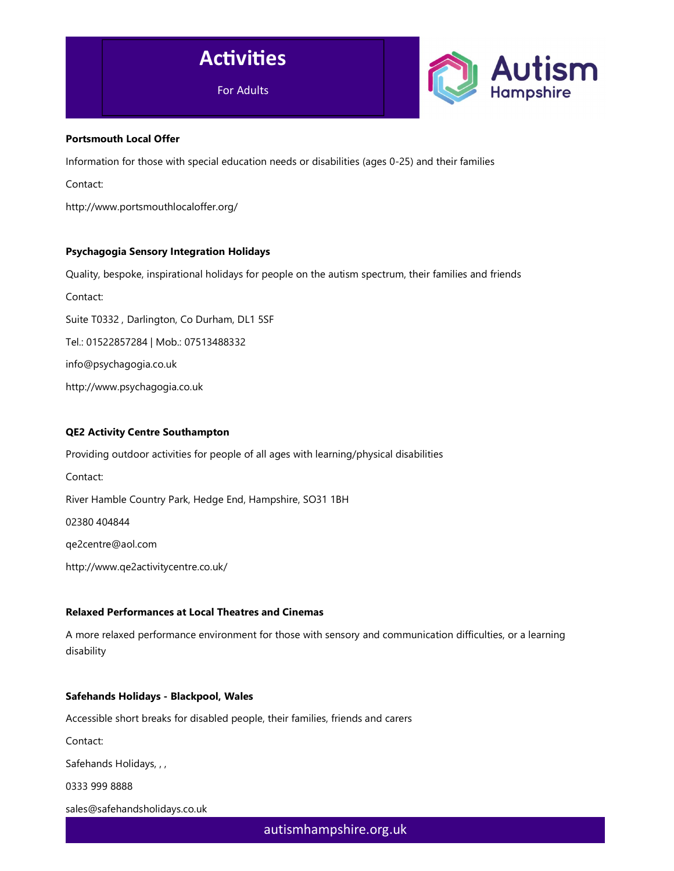



### Portsmouth Local Offer

Information for those with special education needs or disabilities (ages 0-25) and their families

Contact:

http://www.portsmouthlocaloffer.org/

# Psychagogia Sensory Integration Holidays

Quality, bespoke, inspirational holidays for people on the autism spectrum, their families and friends

Contact:

Suite T0332 , Darlington, Co Durham, DL1 5SF

Tel.: 01522857284 | Mob.: 07513488332

info@psychagogia.co.uk

http://www.psychagogia.co.uk

# QE2 Activity Centre Southampton

Providing outdoor activities for people of all ages with learning/physical disabilities

Contact: River Hamble Country Park, Hedge End, Hampshire, SO31 1BH

02380 404844

qe2centre@aol.com

http://www.qe2activitycentre.co.uk/

### Relaxed Performances at Local Theatres and Cinemas

A more relaxed performance environment for those with sensory and communication difficulties, or a learning disability

### Safehands Holidays - Blackpool, Wales

Accessible short breaks for disabled people, their families, friends and carers

Contact:

Safehands Holidays, , ,

0333 999 8888

sales@safehandsholidays.co.uk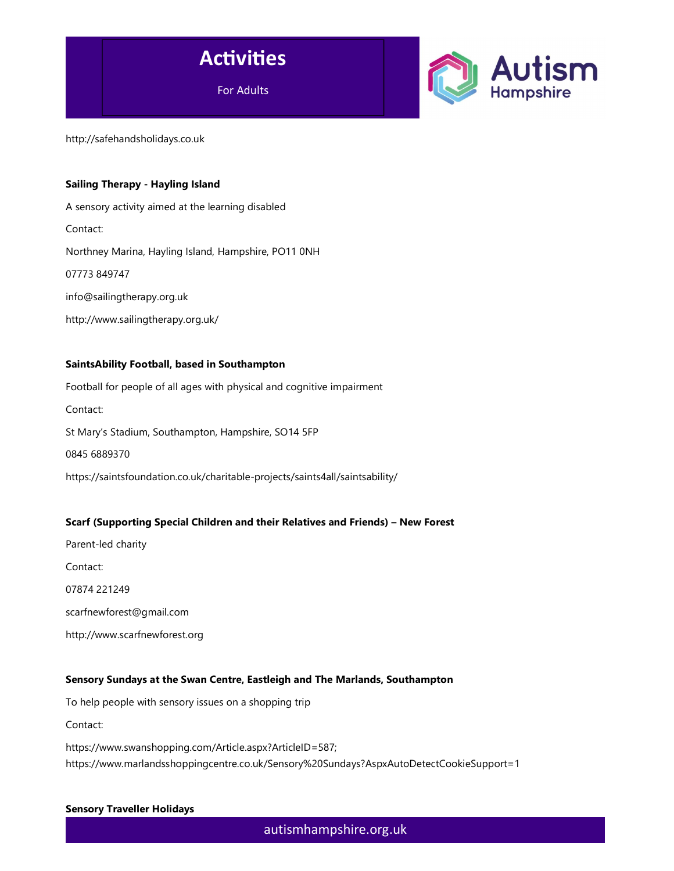



http://safehandsholidays.co.uk

### Sailing Therapy - Hayling Island

A sensory activity aimed at the learning disabled Contact: Northney Marina, Hayling Island, Hampshire, PO11 0NH 07773 849747 info@sailingtherapy.org.uk http://www.sailingtherapy.org.uk/

### SaintsAbility Football, based in Southampton

Football for people of all ages with physical and cognitive impairment Contact: St Mary's Stadium, Southampton, Hampshire, SO14 5FP 0845 6889370 https://saintsfoundation.co.uk/charitable-projects/saints4all/saintsability/

# Scarf (Supporting Special Children and their Relatives and Friends) – New Forest

Parent-led charity Contact: 07874 221249 scarfnewforest@gmail.com http://www.scarfnewforest.org

### Sensory Sundays at the Swan Centre, Eastleigh and The Marlands, Southampton

To help people with sensory issues on a shopping trip

Contact:

https://www.swanshopping.com/Article.aspx?ArticleID=587; https://www.marlandsshoppingcentre.co.uk/Sensory%20Sundays?AspxAutoDetectCookieSupport=1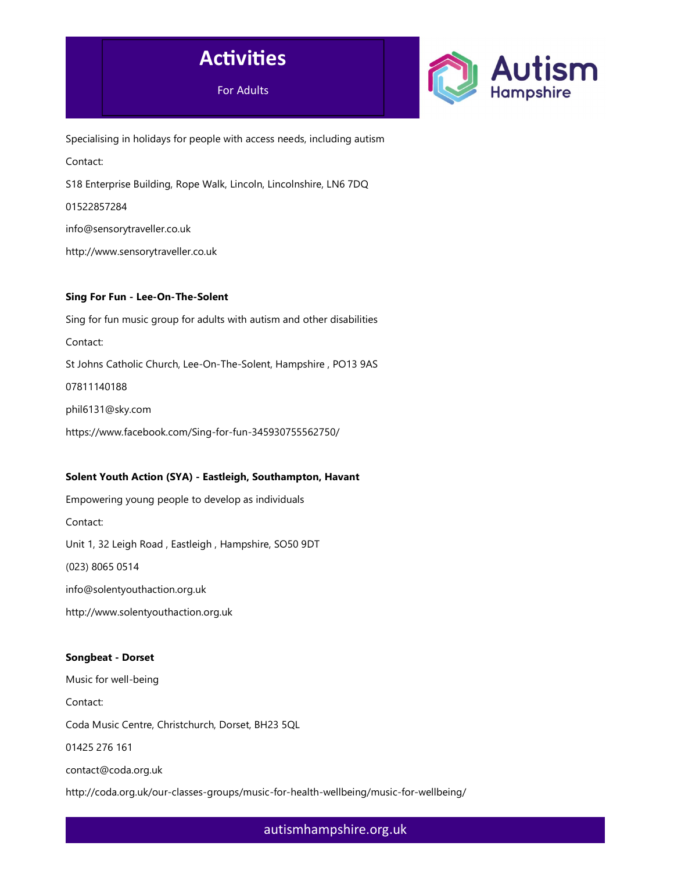



Specialising in holidays for people with access needs, including autism Contact: S18 Enterprise Building, Rope Walk, Lincoln, Lincolnshire, LN6 7DQ 01522857284 info@sensorytraveller.co.uk http://www.sensorytraveller.co.uk

### Sing For Fun - Lee-On-The-Solent

Sing for fun music group for adults with autism and other disabilities Contact: St Johns Catholic Church, Lee-On-The-Solent, Hampshire , PO13 9AS 07811140188 phil6131@sky.com https://www.facebook.com/Sing-for-fun-345930755562750/

# Solent Youth Action (SYA) - Eastleigh, Southampton, Havant

Empowering young people to develop as individuals Contact: Unit 1, 32 Leigh Road , Eastleigh , Hampshire, SO50 9DT (023) 8065 0514 info@solentyouthaction.org.uk http://www.solentyouthaction.org.uk

# Songbeat - Dorset

Music for well-being Contact: Coda Music Centre, Christchurch, Dorset, BH23 5QL 01425 276 161 contact@coda.org.uk http://coda.org.uk/our-classes-groups/music-for-health-wellbeing/music-for-wellbeing/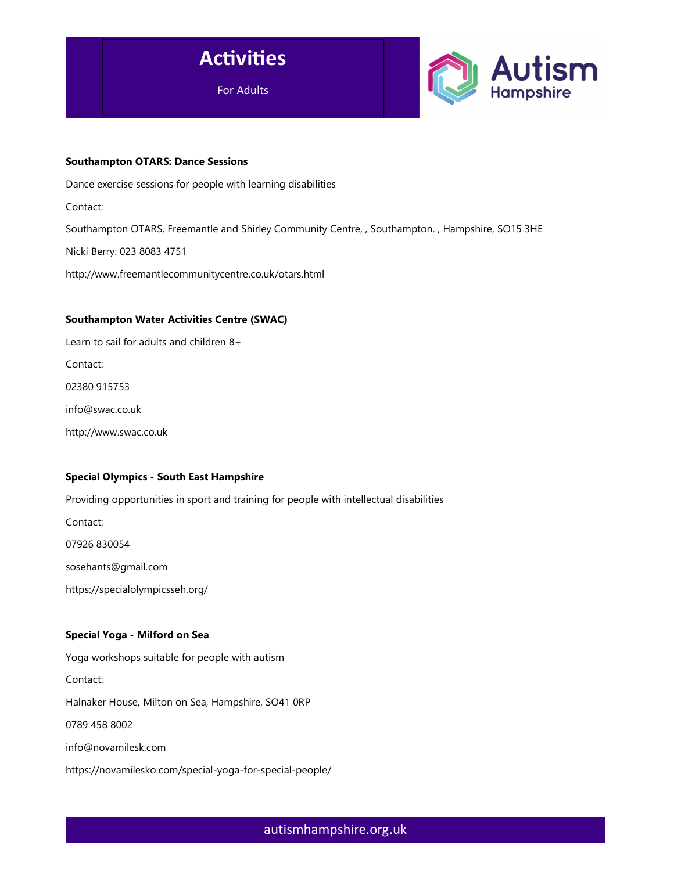



#### Southampton OTARS: Dance Sessions

Dance exercise sessions for people with learning disabilities Contact: Southampton OTARS, Freemantle and Shirley Community Centre, , Southampton. , Hampshire, SO15 3HE Nicki Berry: 023 8083 4751 http://www.freemantlecommunitycentre.co.uk/otars.html

### Southampton Water Activities Centre (SWAC)

Learn to sail for adults and children 8+ Contact: 02380 915753 info@swac.co.uk http://www.swac.co.uk

# Special Olympics - South East Hampshire

Providing opportunities in sport and training for people with intellectual disabilities

Contact:

07926 830054

sosehants@gmail.com

https://specialolympicsseh.org/

### Special Yoga - Milford on Sea

Yoga workshops suitable for people with autism

Contact:

Halnaker House, Milton on Sea, Hampshire, SO41 0RP

0789 458 8002

info@novamilesk.com

https://novamilesko.com/special-yoga-for-special-people/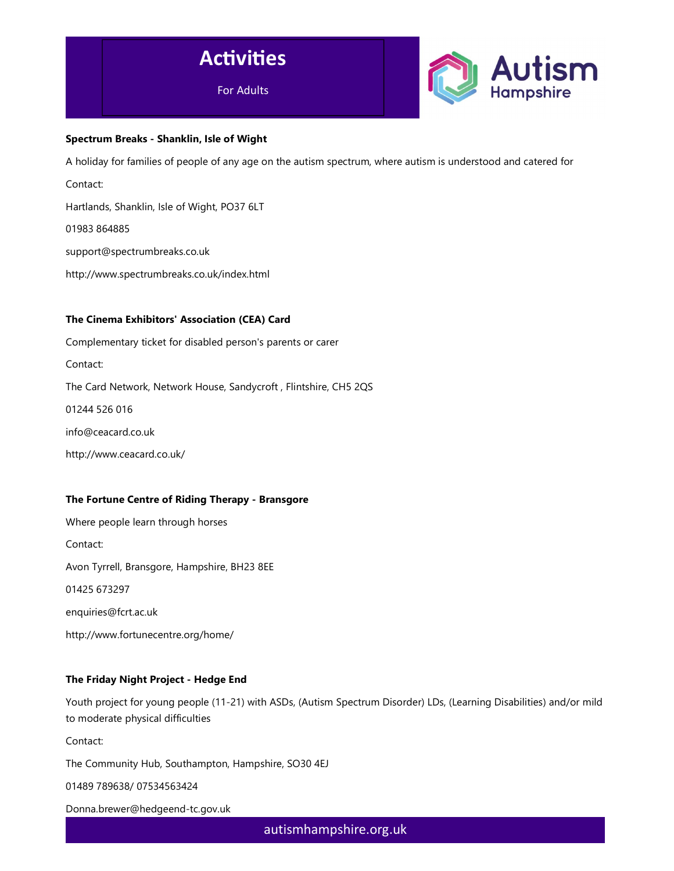



### Spectrum Breaks - Shanklin, Isle of Wight

A holiday for families of people of any age on the autism spectrum, where autism is understood and catered for

Contact:

Hartlands, Shanklin, Isle of Wight, PO37 6LT

01983 864885

support@spectrumbreaks.co.uk

http://www.spectrumbreaks.co.uk/index.html

### The Cinema Exhibitors' Association (CEA) Card

Complementary ticket for disabled person's parents or carer Contact: The Card Network, Network House, Sandycroft , Flintshire, CH5 2QS 01244 526 016 info@ceacard.co.uk

http://www.ceacard.co.uk/

# The Fortune Centre of Riding Therapy - Bransgore

Where people learn through horses Contact: Avon Tyrrell, Bransgore, Hampshire, BH23 8EE 01425 673297 enquiries@fcrt.ac.uk http://www.fortunecentre.org/home/

# The Friday Night Project - Hedge End

Youth project for young people (11-21) with ASDs, (Autism Spectrum Disorder) LDs, (Learning Disabilities) and/or mild to moderate physical difficulties

Contact:

The Community Hub, Southampton, Hampshire, SO30 4EJ

01489 789638/ 07534563424

Donna.brewer@hedgeend-tc.gov.uk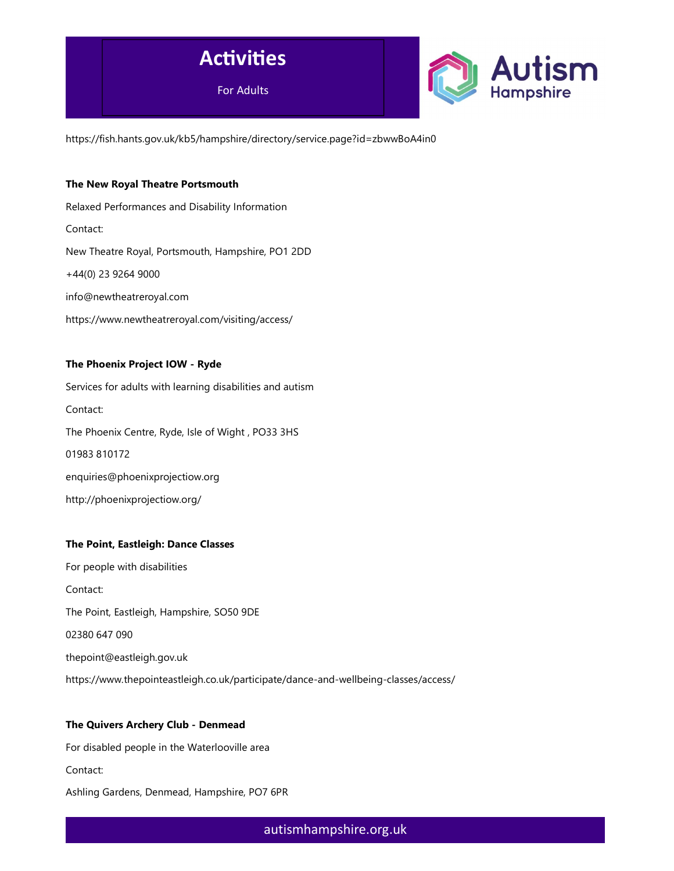

https://fish.hants.gov.uk/kb5/hampshire/directory/service.page?id=zbwwBoA4in0

### The New Royal Theatre Portsmouth

Relaxed Performances and Disability Information Contact: New Theatre Royal, Portsmouth, Hampshire, PO1 2DD +44(0) 23 9264 9000 info@newtheatreroyal.com https://www.newtheatreroyal.com/visiting/access/

### The Phoenix Project IOW - Ryde

Services for adults with learning disabilities and autism Contact: The Phoenix Centre, Ryde, Isle of Wight , PO33 3HS 01983 810172 enquiries@phoenixprojectiow.org http://phoenixprojectiow.org/

### The Point, Eastleigh: Dance Classes

For people with disabilities Contact: The Point, Eastleigh, Hampshire, SO50 9DE 02380 647 090 thepoint@eastleigh.gov.uk https://www.thepointeastleigh.co.uk/participate/dance-and-wellbeing-classes/access/

### The Quivers Archery Club - Denmead

For disabled people in the Waterlooville area Contact: Ashling Gardens, Denmead, Hampshire, PO7 6PR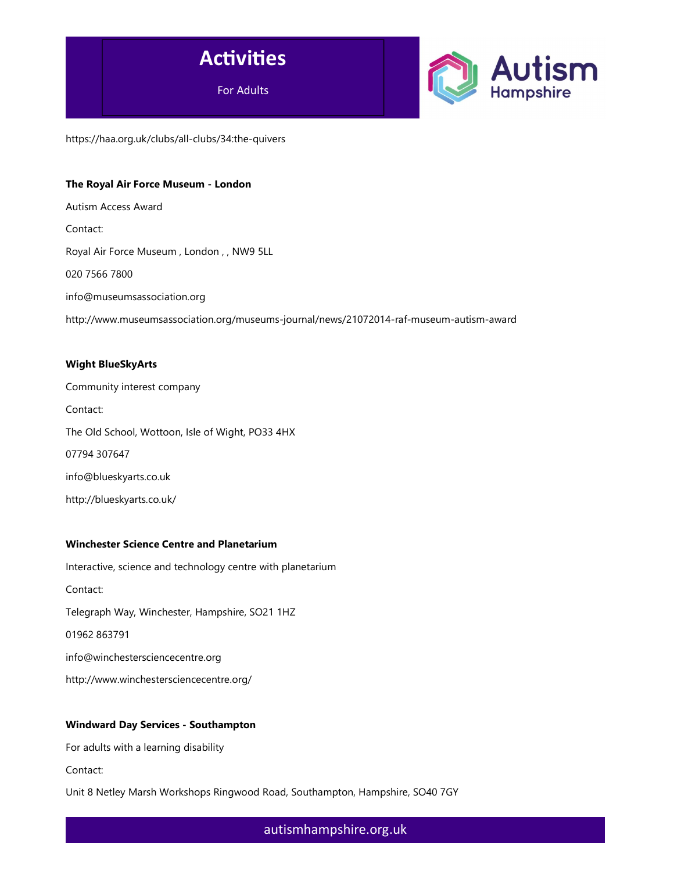

https://haa.org.uk/clubs/all-clubs/34:the-quivers

### The Royal Air Force Museum - London

Autism Access Award Contact: Royal Air Force Museum , London , , NW9 5LL 020 7566 7800 info@museumsassociation.org http://www.museumsassociation.org/museums-journal/news/21072014-raf-museum-autism-award

### Wight BlueSkyArts

Community interest company Contact: The Old School, Wottoon, Isle of Wight, PO33 4HX 07794 307647 info@blueskyarts.co.uk http://blueskyarts.co.uk/

# Winchester Science Centre and Planetarium

Interactive, science and technology centre with planetarium Contact: Telegraph Way, Winchester, Hampshire, SO21 1HZ 01962 863791 info@winchestersciencecentre.org http://www.winchestersciencecentre.org/

### Windward Day Services - Southampton

For adults with a learning disability

Contact:

Unit 8 Netley Marsh Workshops Ringwood Road, Southampton, Hampshire, SO40 7GY